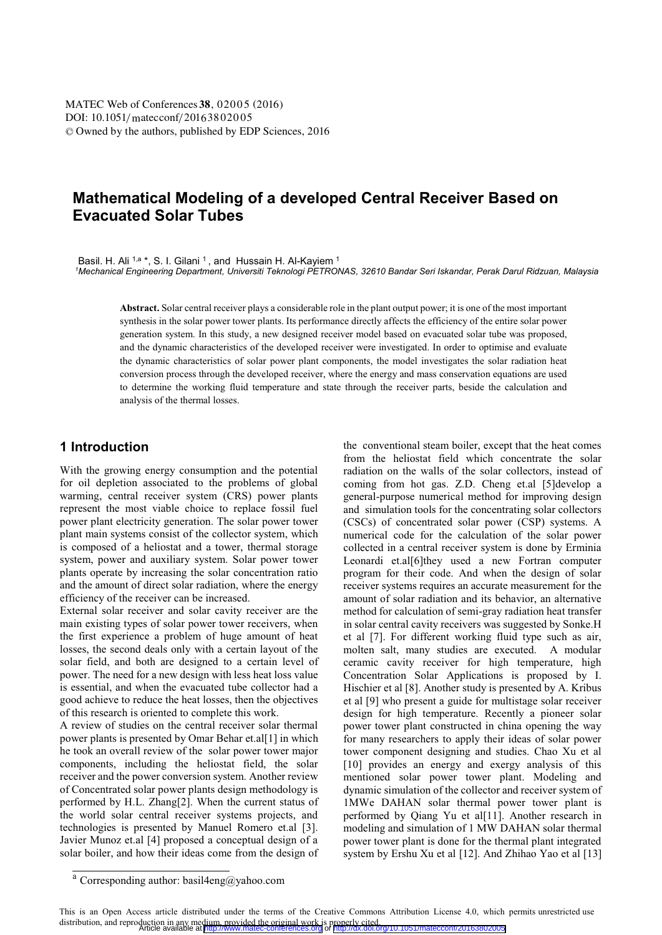# **Mathematical Modeling of a developed Central Receiver Based on Evacuated Solar Tubes**

Basil. H. Ali <sup>1,a</sup> \*, S. I. Gilani <sup>1</sup>, and Hussain H. Al-Kayiem <sup>1</sup> *1 Mechanical Engineering Department, Universiti Teknologi PETRONAS, 32610 Bandar Seri Iskandar, Perak Darul Ridzuan, Malaysia* 

**Abstract.** Solar central receiver plays a considerable role in the plant output power; it is one of the most important synthesis in the solar power tower plants. Its performance directly affects the efficiency of the entire solar power generation system. In this study, a new designed receiver model based on evacuated solar tube was proposed, and the dynamic characteristics of the developed receiver were investigated. In order to optimise and evaluate the dynamic characteristics of solar power plant components, the model investigates the solar radiation heat conversion process through the developed receiver, where the energy and mass conservation equations are used to determine the working fluid temperature and state through the receiver parts, beside the calculation and analysis of the thermal losses.

### **1 Introduction**

With the growing energy consumption and the potential for oil depletion associated to the problems of global warming, central receiver system (CRS) power plants represent the most viable choice to replace fossil fuel power plant electricity generation. The solar power tower plant main systems consist of the collector system, which is composed of a heliostat and a tower, thermal storage system, power and auxiliary system. Solar power tower plants operate by increasing the solar concentration ratio and the amount of direct solar radiation, where the energy efficiency of the receiver can be increased.

External solar receiver and solar cavity receiver are the main existing types of solar power tower receivers, when the first experience a problem of huge amount of heat losses, the second deals only with a certain layout of the solar field, and both are designed to a certain level of power. The need for a new design with less heat loss value is essential, and when the evacuated tube collector had a good achieve to reduce the heat losses, then the objectives of this research is oriented to complete this work.

A review of studies on the central receiver solar thermal power plants is presented by Omar Behar et.al[1] in which he took an overall review of the solar power tower major components, including the heliostat field, the solar receiver and the power conversion system. Another review of Concentrated solar power plants design methodology is performed by H.L. Zhang[2]. When the current status of the world solar central receiver systems projects, and technologies is presented by Manuel Romero et.al [3]. Javier Munoz et.al [4] proposed a conceptual design of a solar boiler, and how their ideas come from the design of

the conventional steam boiler, except that the heat comes from the heliostat field which concentrate the solar radiation on the walls of the solar collectors, instead of coming from hot gas. Z.D. Cheng et.al [5]develop a general-purpose numerical method for improving design and simulation tools for the concentrating solar collectors (CSCs) of concentrated solar power (CSP) systems. A numerical code for the calculation of the solar power collected in a central receiver system is done by Erminia Leonardi et.al[6]they used a new Fortran computer program for their code. And when the design of solar receiver systems requires an accurate measurement for the amount of solar radiation and its behavior, an alternative method for calculation of semi-gray radiation heat transfer in solar central cavity receivers was suggested by Sonke.H et al [7]. For different working fluid type such as air, molten salt, many studies are executed. A modular ceramic cavity receiver for high temperature, high Concentration Solar Applications is proposed by I. Hischier et al [8]. Another study is presented by A. Kribus et al [9] who present a guide for multistage solar receiver design for high temperature. Recently a pioneer solar power tower plant constructed in china opening the way for many researchers to apply their ideas of solar power tower component designing and studies. Chao Xu et al [10] provides an energy and exergy analysis of this mentioned solar power tower plant. Modeling and dynamic simulation of the collector and receiver system of 1MWe DAHAN solar thermal power tower plant is performed by Qiang Yu et al[11]. Another research in modeling and simulation of 1 MW DAHAN solar thermal power tower plant is done for the thermal plant integrated system by Ershu Xu et al [12]. And Zhihao Yao et al [13]

<sup>a</sup> Corresponding author: basil4eng@yahoo.com

This is an Open Access article distributed under the terms of the Creative Commons Attribution License 4.0, which permits unrestricted use distribution, and reproduction in any medium, provided the original work is properly cited.<br>Article available at <http://www.matec-conferences.org> or <http://dx.doi.org/10.1051/matecconf/20163802005>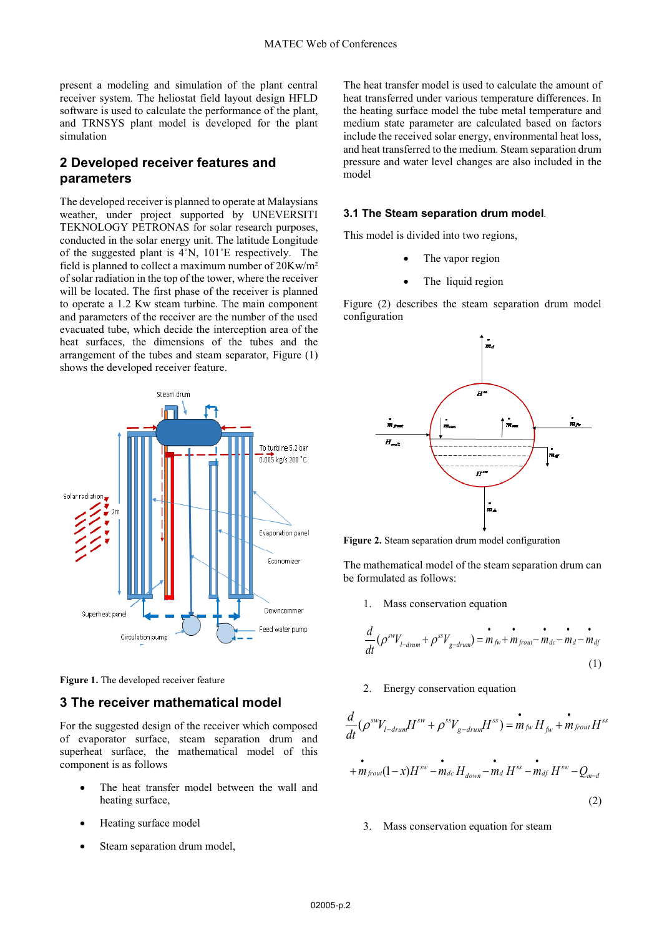present a modeling and simulation of the plant central receiver system. The heliostat field layout design HFLD software is used to calculate the performance of the plant, and TRNSYS plant model is developed for the plant simulation

### **2 Developed receiver features and parameters**

The developed receiver is planned to operate at Malaysians weather, under project supported by UNEVERSITI TEKNOLOGY PETRONAS for solar research purposes, conducted in the solar energy unit. The latitude Longitude of the suggested plant is 4˚N, 101˚E respectively. The field is planned to collect a maximum number of 20Kw/m² of solar radiation in the top of the tower, where the receiver will be located. The first phase of the receiver is planned to operate a 1.2 Kw steam turbine. The main component and parameters of the receiver are the number of the used evacuated tube, which decide the interception area of the heat surfaces, the dimensions of the tubes and the arrangement of the tubes and steam separator, Figure (1) shows the developed receiver feature.



**Figure 1.** The developed receiver feature

### **3 The receiver mathematical model**

For the suggested design of the receiver which composed of evaporator surface, steam separation drum and superheat surface, the mathematical model of this component is as follows

- $\bullet$  The heat transfer model between the wall and heating surface,
- $\bullet$ Heating surface model
- $\bullet$ Steam separation drum model,

The heat transfer model is used to calculate the amount of heat transferred under various temperature differences. In the heating surface model the tube metal temperature and medium state parameter are calculated based on factors include the received solar energy, environmental heat loss, and heat transferred to the medium. Steam separation drum pressure and water level changes are also included in the model

#### **3.1 The Steam separation drum model***.*

This model is divided into two regions,

- $\bullet$ The vapor region
- -The liquid region

Figure (2) describes the steam separation drum model configuration



 **Figure 2.** Steam separation drum model configuration

The mathematical model of the steam separation drum can be formulated as follows:

1. Mass conservation equation

$$
\frac{d}{dt}(\rho^{sw}V_{l-drum} + \rho^{ss}V_{g-drum}) = \dot{m}_{fw} + \dot{m}_{froul} - \dot{m}_{dc} - \dot{m}_d - \dot{m}_{df}
$$
\n(1)

2. Energy conservation equation

$$
\frac{d}{dt}(\rho^{sw}V_{l-drum}H^{sw} + \rho^{ss}V_{g-drum}H^{ss}) = m_{fw}H_{fw} + m_{front}H^{ss}
$$
\n
$$
+ m_{front}(1-x)H^{sw} - m_{dc}H_{down} - m_{d}H^{ss} - m_{df}H^{sw} - Q_{m-d}
$$
\n(2)

3. Mass conservation equation for steam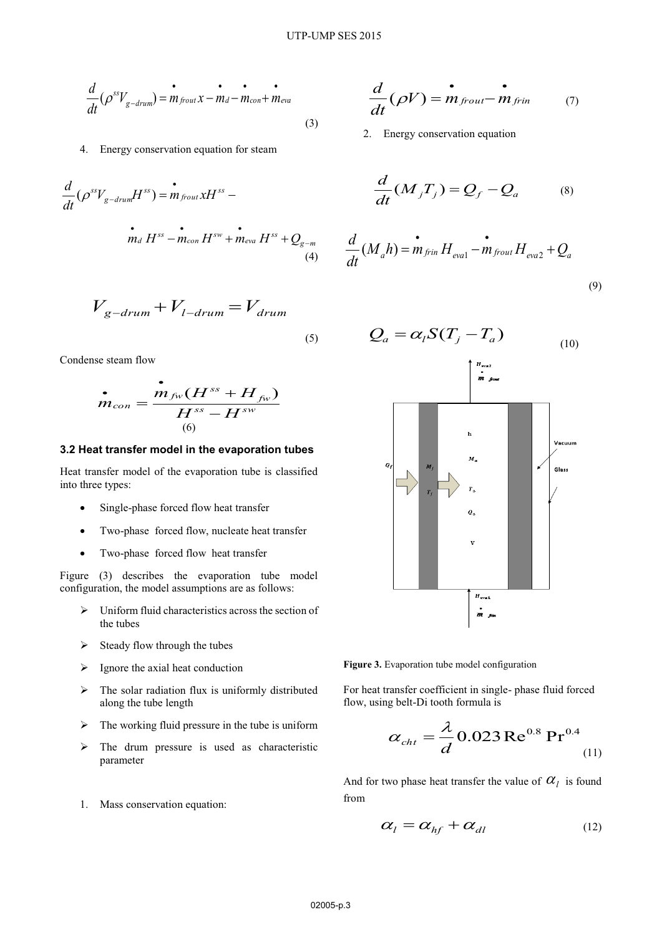$$
\frac{d}{dt}(\rho^{ss}V_{g-drum}) = m_{front}x - m_d - m_{con} + m_{eva}
$$
\n(3)

4. Energy conservation equation for steam

$$
\frac{d}{dt}(\rho^{ss}V_{g-drum}H^{ss}) = \mathbf{m}_{\text{front}}xH^{ss} - \mathbf{m}_{\text{av}}H^{ss} + \mathbf{m}_{\text{ev}}H^{ss} + Q_{g-m}
$$
\n
$$
\mathbf{m}_d H^{ss} - \mathbf{m}_{\text{con}} H^{sw} + \mathbf{m}_{\text{ev}}H^{ss} + Q_{g-m}
$$
\n(4)

$$
V_{g-drum} + V_{l-drum} = V_{drum}
$$
\n(5)

Condense steam flow

$$
m_{con} = \frac{m_{fw}(H^{ss} + H_{fw})}{H^{ss} - H^{sw}}
$$
  
(6)

#### **3.2 Heat transfer model in the evaporation tubes**

Heat transfer model of the evaporation tube is classified into three types:

- -Single-phase forced flow heat transfer
- $\bullet$ Two-phase forced flow, nucleate heat transfer
- $\bullet$ Two-phase forced flow heat transfer

Figure (3) describes the evaporation tube model configuration, the model assumptions are as follows:

- $\blacktriangleright$  Uniform fluid characteristics across the section of the tubes
- $\blacktriangleright$ Steady flow through the tubes
- > Ignore the axial heat conduction
- > The solar radiation flux is uniformly distributed along the tube length
- $\triangleright$ The working fluid pressure in the tube is uniform
- $\blacktriangleright$  The drum pressure is used as characteristic parameter
- 1. Mass conservation equation:

$$
\frac{d}{dt}(\rho V) = \mathbf{\dot{m}}_{\text{front}} - \mathbf{\dot{m}}_{\text{frin}} \tag{7}
$$

2. Energy conservation equation

$$
\frac{d}{dt}(M_j T_j) = Q_f - Q_a \tag{8}
$$

$$
\frac{d}{dt}(M_a h) = m_{frin} H_{eval} - m_{front} H_{eva2} + Q_a
$$
\n(9)

$$
Q_{a} = \alpha_{l} S(T_{j} - T_{a})
$$
\n
$$
\begin{array}{c}\n\begin{array}{ccc}\n\frac{H_{\text{avg}}}{m_{\text{f}}}\n\end{array}\n\end{array}
$$
\n
$$
\begin{array}{c}\n\text{h} \\
\text{h} \\
\text{v} \\
\text{v} \\
\text{v}\n\end{array}
$$
\n
$$
\begin{array}{c}\n\text{v} \\
\text{v} \\
\text{v} \\
\text{v} \\
\text{v} \\
\text{v} \\
\text{v} \\
\text{v} \\
\text{v} \\
\text{v} \\
\text{v} \\
\text{v} \\
\text{v} \\
\text{v} \\
\text{v} \\
\text{v} \\
\text{v} \\
\text{v} \\
\text{v} \\
\text{v} \\
\text{v} \\
\text{v} \\
\text{v} \\
\text{v} \\
\text{v} \\
\text{v} \\
\text{v} \\
\text{v} \\
\text{v} \\
\text{v} \\
\text{v} \\
\text{v} \\
\text{v} \\
\text{v} \\
\text{v} \\
\text{v} \\
\text{v} \\
\text{v} \\
\text{v} \\
\text{v} \\
\text{v} \\
\text{v} \\
\text{v} \\
\text{v} \\
\text{v} \\
\text{v} \\
\text{v} \\
\text{v} \\
\text{v} \\
\text{v} \\
\text{v} \\
\text{v} \\
\text{v} \\
\text{v} \\
\text{v} \\
\text{v} \\
\text{v} \\
\text{v} \\
\text{v} \\
\text{v} \\
\text{v} \\
\text{v} \\
\text{v} \\
\text{v} \\
\text{v} \\
\text{v} \\
\text{v} \\
\text{v} \\
\text{v} \\
\text{v} \\
\text{v} \\
\text{v} \\
\text{v} \\
\text{v} \\
\text{v} \\
\text{v} \\
\text{v} \\
\text{v} \\
\text{v} \\
\text{v} \\
\text{v} \\
\text{v} \\
\text{v} \\
\text{v} \\
\text{v} \\
\text{v} \\
\text{v} \\
\text{v} \\
\text{v} \\
\text{v} \\
\text{v} \\
\text{v} \\
\text{v} \\
\text{v} \\
\text{v} \\
\text{v} \\
\text{v} \\
\text{v} \\
\text{v} \\
\text{v} \\
\text{v} \\
\text{v} \\
\text{v
$$

**Figure 3.** Evaporation tube model configuration

For heat transfer coefficient in single- phase fluid forced flow, using belt-Di tooth formula is

$$
\alpha_{\text{cht}} = \frac{\lambda}{d} 0.023 \text{Re}^{0.8} \text{Pr}^{0.4}
$$
 (11)

And for two phase heat transfer the value of  $\alpha_l$  is found from

$$
\alpha_l = \alpha_{hf} + \alpha_{dl} \tag{12}
$$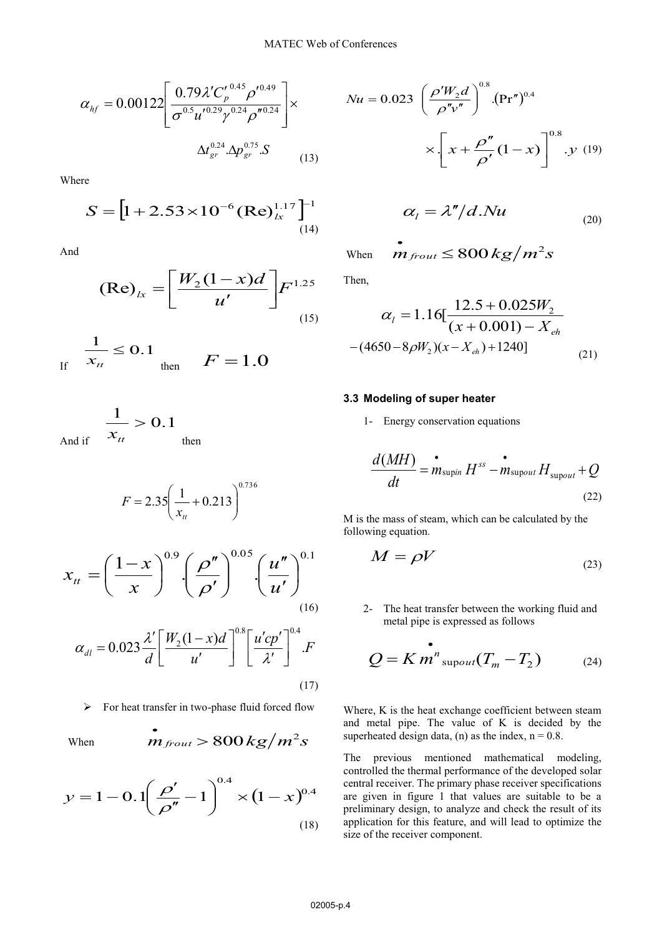$$
\alpha_{hf} = 0.00122 \left[ \frac{0.79 \lambda' C_p^{\prime 0.45} \rho^{\prime 0.49}}{\sigma^{0.5} u^{\prime 0.29} \gamma^{0.24} \rho^{\prime 0.24}} \right] \times
$$
  

$$
\Delta t_{gr}^{0.24} \Delta p_{gr}^{0.75} S
$$
 (13)

Where

$$
S = \left[1 + 2.53 \times 10^{-6} \text{(Re)}\right]_{1x}^{1.17} \bigg]_{(14)}
$$

And

And if

$$
(\text{Re})_{lx} = \left[\frac{W_2(1-x)d}{u'}\right]F^{1.25}
$$
\n(15)

$$
\frac{1}{2\pi} \leq 0.1
$$
 then  $F = 1.0$ 

$$
\frac{1}{x_{tt}} > 0.1
$$

$$
F = 2.35 \left( \frac{1}{x_u} + 0.213 \right)^{0.736}
$$

$$
x_{tt} = \left( \frac{1 - x}{x} \right)^{0.9} \cdot \left( \frac{\rho''}{\rho'} \right)^{0.05} \cdot \left( \frac{u''}{u'} \right)^{0.1}
$$

$$
\alpha_{dt} = \begin{pmatrix} x & \end{pmatrix} \begin{pmatrix} \lambda' & \end{pmatrix} \begin{pmatrix} u' & \end{pmatrix}
$$
\n
$$
\alpha_{dl} = 0.023 \frac{\lambda'}{d} \left[ \frac{W_2(1-x)d}{u'} \right]^{0.8} \left[ \frac{u'cp'}{\lambda'} \right]^{0.4} F
$$

> For heat transfer in two-phase fluid forced flow

When 
$$
m_{front} > 800 \frac{kg}{m^2 s}
$$

$$
y = 1 - 0.1 \left( \frac{\rho'}{\rho''} - 1 \right)^{0.4} \times (1 - x)^{0.4}
$$
\n(18)

$$
Nu = 0.023 \left( \frac{\rho' W_2 d}{\rho'' v''} \right)^{0.8} (\Pr'')^{0.4}
$$

$$
\times \left[ x + \frac{\rho''}{\rho'} (1 - x) \right]^{0.8} . y \quad (19)
$$

$$
\alpha_l = \lambda''/d.Nu
$$
\n(20)

When  $m_{front} \leq 800 \, kg/m^2 s$ 

Then,

$$
\alpha_{l} = 1.16 \left[ \frac{12.5 + 0.025 W_{2}}{(x + 0.001) - X_{eh}} - (4650 - 8\rho W_{2})(x - X_{eh}) + 1240 \right]
$$
\n(21)

#### **3.3 Modeling of super heater**

1- Energy conservation equations

$$
\frac{d(MH)}{dt} = m_{\text{supin}} H^{ss} - m_{\text{support}} H_{\text{support}} + Q
$$
\n(22)

M is the mass of steam, which can be calculated by the following equation.

$$
M = \rho V \tag{23}
$$

2- The heat transfer between the working fluid and metal pipe is expressed as follows

$$
Q = K m^n_{\text{support}} (T_m - T_2) \tag{24}
$$

Where, K is the heat exchange coefficient between steam and metal pipe. The value of K is decided by the superheated design data, (n) as the index,  $n = 0.8$ .

The previous mentioned mathematical modeling, controlled the thermal performance of the developed solar central receiver. The primary phase receiver specifications are given in figure 1 that values are suitable to be a preliminary design, to analyze and check the result of its application for this feature, and will lead to optimize the size of the receiver component.

(17)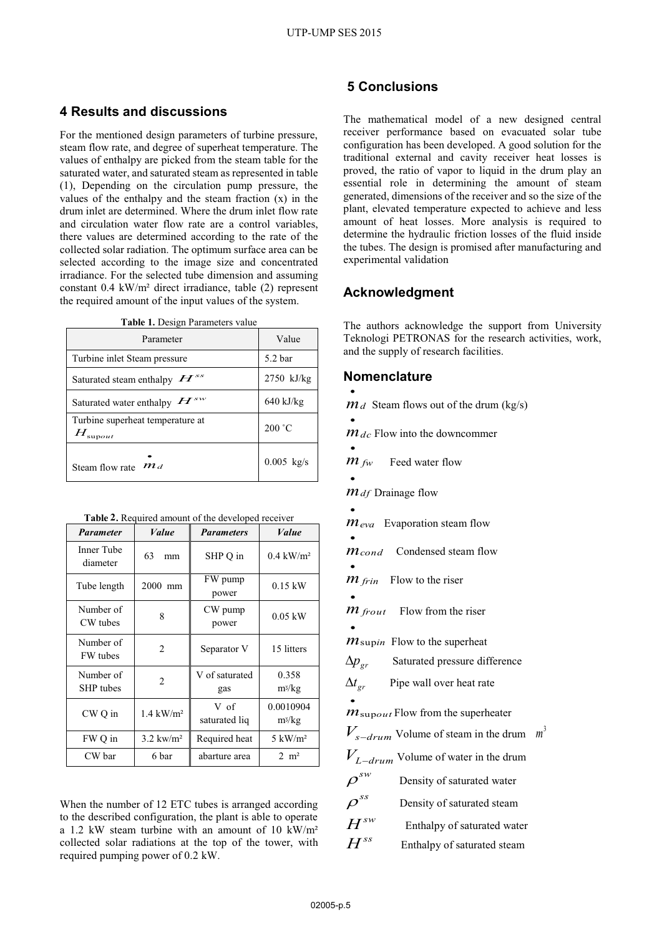### **4 Results and discussions**

For the mentioned design parameters of turbine pressure, steam flow rate, and degree of superheat temperature. The values of enthalpy are picked from the steam table for the saturated water, and saturated steam as represented in table (1), Depending on the circulation pump pressure, the values of the enthalpy and the steam fraction (x) in the drum inlet are determined. Where the drum inlet flow rate and circulation water flow rate are a control variables, there values are determined according to the rate of the collected solar radiation. The optimum surface area can be selected according to the image size and concentrated irradiance. For the selected tube dimension and assuming constant 0.4 kW/m² direct irradiance, table (2) represent the required amount of the input values of the system.

|  | <b>Table 1.</b> Design Parameters value |  |
|--|-----------------------------------------|--|
|  |                                         |  |

| Parameter                                                | Value                |
|----------------------------------------------------------|----------------------|
| Turbine inlet Steam pressure                             | 5.2 <sub>bar</sub>   |
| Saturated steam enthalpy $H^{ss}$                        | $2750$ kJ/kg         |
| Saturated water enthalpy $H^{sw}$                        | $640$ kJ/kg          |
| Turbine superheat temperature at<br>$H_{\text{support}}$ | 200 °C               |
| $m_d$<br>Steam flow rate                                 | $0.005 \text{ kg/s}$ |

|  |  | <b>Table 2.</b> Required amount of the developed receiver |  |
|--|--|-----------------------------------------------------------|--|
|  |  |                                                           |  |

| <b>Parameter</b>       | Value                   | <b>Parameters</b>     | Value                           |
|------------------------|-------------------------|-----------------------|---------------------------------|
| Inner Tube<br>diameter | 63<br>mm                | SHP Q in              | $0.4$ kW/m <sup>2</sup>         |
| Tube length            | 2000 mm                 | FW pump<br>power      | $0.15$ kW                       |
| Number of<br>CW tubes  | 8                       | CW pump<br>power      | $0.05$ kW                       |
| Number of<br>FW tubes  | 2                       | Separator V           | 15 litters                      |
| Number of<br>SHP tubes | 2                       | V of saturated<br>gas | 0.358<br>m <sup>3</sup> /kg     |
| CW Q in                | $1.4 \text{ kW/m}^2$    | V of<br>saturated liq | 0.0010904<br>m <sup>3</sup> /kg |
| FW Q in                | $3.2$ kw/m <sup>2</sup> | Required heat         | $5 \text{ kW/m}^2$              |
| CW bar                 | 6 bar                   | abarture area         | $2 \text{ m}^2$                 |

When the number of 12 ETC tubes is arranged according to the described configuration, the plant is able to operate a 1.2 kW steam turbine with an amount of 10 kW/m² collected solar radiations at the top of the tower, with required pumping power of 0.2 kW.

### **5 Conclusions**

The mathematical model of a new designed central receiver performance based on evacuated solar tube configuration has been developed. A good solution for the traditional external and cavity receiver heat losses is proved, the ratio of vapor to liquid in the drum play an essential role in determining the amount of steam generated, dimensions of the receiver and so the size of the plant, elevated temperature expected to achieve and less amount of heat losses. More analysis is required to determine the hydraulic friction losses of the fluid inside the tubes. The design is promised after manufacturing and experimental validation

#### **Acknowledgment**

The authors acknowledge the support from University Teknologi PETRONAS for the research activities, work, and the supply of research facilities.

#### **Nomenclature**

 $m_d$  Steam flows out of the drum (kg/s) *m dc* Flow into the downcommer *m fw* - Feed water flow *M df* Drainage flow *m* eva Evaporation steam flow *m cond* Condensed steam flow *m frin* Flow to the riser *m frout* Flow from the riser *m*sup*in* Flow to the superheat - $\Delta p_{or}$  Saturated pressure difference  $\Delta t_{\alpha r}$  Pipe wall over heat rate  $m_{\text{support}}$  Flow from the superheater - $V_{s-drum}$  Volume of steam in the drum  $m^3$  $V_{L-drum}$  Volume of water in the drum  $\rho^{sw}$  Density of saturated water  $\rho^{ss}$  Density of saturated steam  $H^{sw}$  Enthalpy of saturated water  $H^{ss}$  Enthalpy of saturated steam